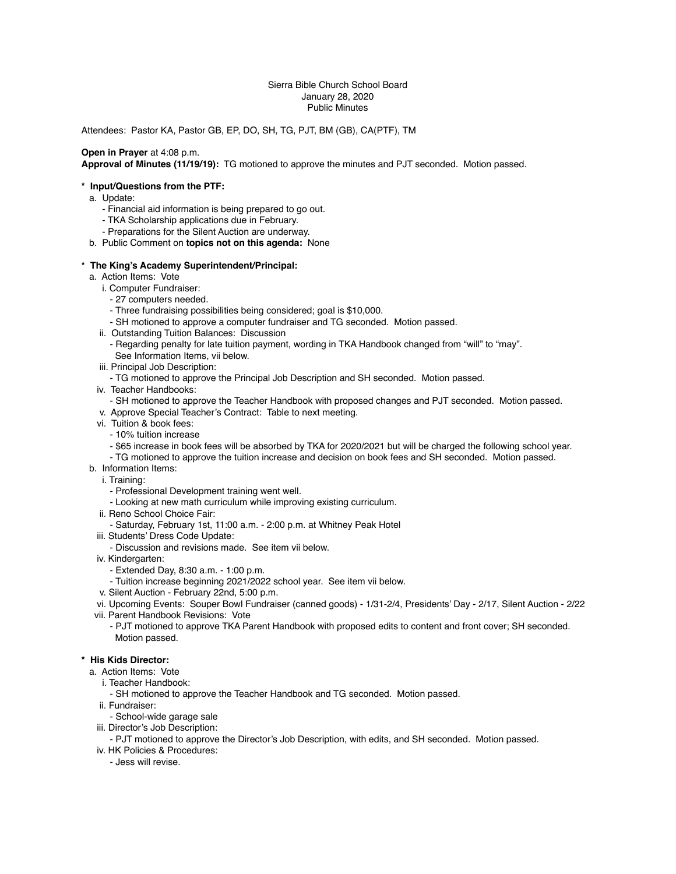#### Sierra Bible Church School Board January 28, 2020 Public Minutes

Attendees: Pastor KA, Pastor GB, EP, DO, SH, TG, PJT, BM (GB), CA(PTF), TM

# **Open in Prayer** at 4:08 p.m.

**Approval of Minutes (11/19/19):** TG motioned to approve the minutes and PJT seconded. Motion passed.

## **\* Input/Questions from the PTF:**

- a. Update:
	- Financial aid information is being prepared to go out.
	- TKA Scholarship applications due in February.
	- Preparations for the Silent Auction are underway.
- b. Public Comment on **topics not on this agenda:** None

### **\* The King's Academy Superintendent/Principal:**

- a. Action Items: Vote
	- i. Computer Fundraiser:
		- 27 computers needed.
		- Three fundraising possibilities being considered; goal is \$10,000.
		- SH motioned to approve a computer fundraiser and TG seconded. Motion passed.
	- ii. Outstanding Tuition Balances: Discussion
		- Regarding penalty for late tuition payment, wording in TKA Handbook changed from "will" to "may". See Information Items, vii below.
	- iii. Principal Job Description:
		- TG motioned to approve the Principal Job Description and SH seconded. Motion passed.
	- iv. Teacher Handbooks:
	- SH motioned to approve the Teacher Handbook with proposed changes and PJT seconded. Motion passed.
	- v. Approve Special Teacher's Contract: Table to next meeting.
	- vi. Tuition & book fees:
		- 10% tuition increase
		- \$65 increase in book fees will be absorbed by TKA for 2020/2021 but will be charged the following school year.
		- TG motioned to approve the tuition increase and decision on book fees and SH seconded. Motion passed.
- b. Information Items:
	- i. Training:
		- Professional Development training went well.
		- Looking at new math curriculum while improving existing curriculum.
	- ii. Reno School Choice Fair:
	- Saturday, February 1st, 11:00 a.m. 2:00 p.m. at Whitney Peak Hotel
	- iii. Students' Dress Code Update:
	- Discussion and revisions made. See item vii below.
	- iv. Kindergarten:
		- Extended Day, 8:30 a.m. 1:00 p.m.
	- Tuition increase beginning 2021/2022 school year. See item vii below.
	- v. Silent Auction February 22nd, 5:00 p.m.
	- vi. Upcoming Events: Souper Bowl Fundraiser (canned goods) 1/31-2/4, Presidents' Day 2/17, Silent Auction 2/22
- vii. Parent Handbook Revisions: Vote
	- PJT motioned to approve TKA Parent Handbook with proposed edits to content and front cover; SH seconded. Motion passed.

#### **\* His Kids Director:**

- a. Action Items: Vote
	- i. Teacher Handbook:
		- SH motioned to approve the Teacher Handbook and TG seconded. Motion passed.
	- ii. Fundraiser:
		- School-wide garage sale
	- iii. Director's Job Description:
		- PJT motioned to approve the Director's Job Description, with edits, and SH seconded. Motion passed.
- iv. HK Policies & Procedures:
	- Jess will revise.